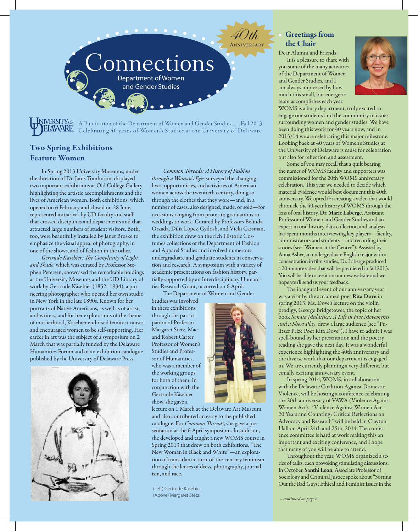

A Publication of the Department of Women and Gender Studies ...... Fall 2013 EIAWARE. Celebrating 40 years of Women's Studies at the University of Delaware

# Two Spring Exhibitions Feature Women

In Spring 2013 University Museums, under the direction of Dr. Janis Tomlinson, displayed two important exhibitions at Old College Gallery highlighting the artistic accomplishments and the lives of American women. Both exhibitions, which opened on 6 February and closed on 28 June, represented initiatives by UD faculty and staff that crossed disciplines and departments and that attracted large numbers of student visitors. Both, too, were beautifully installed by Janet Broske to emphasize the visual appeal of photography, in one of the shows, and of fashion in the other.

Gertrude Käsebier: The Complexity of Light and Shade, which was curated by Professor Stephen Petersen, showcased the remarkable holdings at the University Museums and the UD Library of work by Gertrude Käsebier (1852–1934), a pioneering photographer who opened her own studio in New York in the late 1890s. Known for her portraits of Native Americans, as well as of artists and writers, and for her explorations of the theme of motherhood, Käsebier endorsed feminist causes and encouraged women to be self-supporting. Her career in art was the subject of a symposium on 2 March that was partially funded by the Delaware Humanities Forum and of an exhibition catalogue published by the University of Delaware Press.



Common Threads: A History of Fashion through a Woman's Eyes surveyed the changing lives, opportunities, and activities of American women across the twentieth century, doing so through the clothes that they wore—and, in a number of cases, also designed, made, or sold—for occasions ranging from proms to graduations to weddings to work. Curated by Professors Belinda Orzada, Dilia López-Gydosh, and Vicki Cassman, the exhibition drew on the rich Historic Costumes collections of the Department of Fashion and Apparel Studies and involved numerous undergraduate and graduate students in conservation and research. A symposium with a variety of academic presentations on fashion history, partially supported by an Interdisciplinary Humanities Research Grant, occurred on 6 April.

The Department of Women and Gender

Studies was involved in these exhibitions through the participation of Professor Margaret Stetz, Mae and Robert Carter Professor of Women's Studies and Professor of Humanities, who was a member of the working groups for both of them. In conjunction with the Gertrude Käsebier show, she gave a



lecture on 1 March at the Delaware Art Museum and also contributed an essay to the published catalogue. For *Common Threads*, she gave a presentation at the 6 April symposium. In addition, she developed and taught a new WOMS course in Spring 2013 that drew on both exhibitions, "The New Woman in Black and White"—an exploration of transatlantic turn-of-the-century feminism through the lenses of dress, photography, journalism, and race.

(Left) Gertrude Käsebier (Above) Margaret Stetz – continued on page 6

# **Greetings from** the Chair

40th

Dear Alumni and Friends: It is a pleasure to share with you some of the many activities of the Department of Women and Gender Studies, and I am always impressed by how much this small, but energetic team accomplishes each year.



WOMS is a busy department, truly excited to engage our students and the community in issues surrounding women and gender studies. We have been doing this work for 40 years now, and in 2013/14 we are celebrating this major milestone. Looking back at 40 years of Women's Studies at the University of Delaware is cause for celebration but also for reflection and assessment.

Some of you may recall that a quilt bearing the names of WOMS faculty and supporters was commissioned for the 20th WOMS anniversary celebration. This year we needed to decide which material evidence would best document this 40th anniversary. We opted for creating a video that would chronicle the 40-year history of WOMS through the lens of oral history. Dr. Marie Laberge, Assistant Professor of Women and Gender Studies and an expert in oral history data collection and analysis, has spent months interviewing key players—faculty, administrators and students—and recording their stories (see "Women at the Center"). Assisted by Anna Asher, an undergraduate English major with a concentration in film studies, Dr. Laberge produced a 20-minute video that will be premiered in fall 2013. You will be able to see it on our new website and we hope you'll send us your feedback.

The inaugural event of our anniversary year was a visit by the acclaimed poet Rita Dove in spring 2013. Ms. Dove's lecture on the violin prodigy, George Bridgetower, the topic of her book Sonata Mulattica: A Life in Five Movements and a Short Play, drew a large audience (see "Pulitzer Prize Poet Rita Dove"). I have to admit I was spell-bound by her presentation and the poetry reading she gave the next day. It was a wonderful experience highlighting the 40th anniversary and the diverse work that our department is engaged in. We are currently planning a very different, but equally exciting anniversary event.

In spring 2014, WOMS, in collaboration with the Delaware Coalition Against Domestic Violence, will be hosting a conference celebrating the 20th anniversary of VAWA (Violence Against Women Act). "Violence Against Women Act - 20 Years and Counting: Critical Reflections on Advocacy and Research" will be held in Clayton Hall on April 24th and 25th, 2014. The conference committee is hard at work making this an important and exciting conference, and I hope that many of you will be able to attend.

Throughout the year, WOMS organized a series of talks, each provoking stimulating discussions. In October, Santhi Leon, Associate Professor of Sociology and Criminal Justice spoke about "Sorting Out the Bad Guys: Ethical and Feminist Issues in the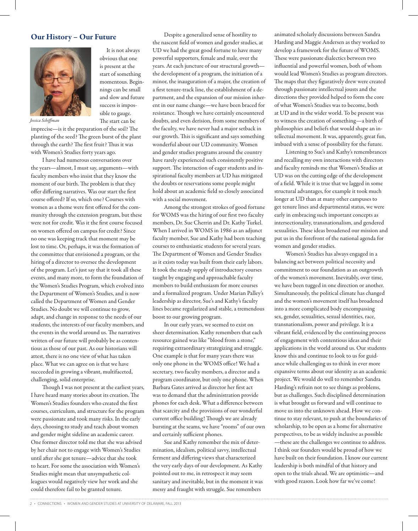### Our History – Our Future



It is not always obvious that one is present at the start of something momentous. Beginnings can be small and slow and future success is impossible to gauge. The start can be

Jessica Schiffman

imprecise—is it the preparation of the soil? The planting of the seed? The green burst of the plant through the earth? The first fruit? Thus it was with Women's Studies forty years ago.

I have had numerous conversations over the years—almost, I must say, arguments—with faculty members who insist that they know the moment of our birth. The problem is that they offer differing narratives. Was our start the first course offered? If so, which one? Courses with women as a theme were first offered for the community through the extension program, but these were not for credit. Was it the first course focused on women offered on campus for credit? Since no one was keeping track that moment may be lost to time. Or, perhaps, it was the formation of the committee that envisioned a program, or the hiring of a director to oversee the development of the program. Let's just say that it took all these events, and many more, to form the foundation of the Women's Studies Program, which evolved into the Department of Women's Studies, and is now called the Department of Women and Gender Studies. No doubt we will continue to grow, adapt, and change in response to the needs of our students, the interests of our faculty members, and the events in the world around us. The narratives written of our future will probably be as contentious as those of our past. As our historians will attest, there is no one view of what has taken place. What we can agree on is that we have succeeded in growing a vibrant, multifaceted, challenging, solid enterprise.

Though I was not present at the earliest years, I have heard many stories about its creation. The Women's Studies founders who created the first courses, curriculum, and structure for the program were passionate and took many risks. In the early days, choosing to study and teach about women and gender might sideline an academic career. One former director told me that she was advised by her chair not to engage with Women's Studies until after she got tenure—advice that she took to heart. For some the association with Women's Studies might mean that unsympathetic colleagues would negatively view her work and she could therefore fail to be granted tenure.

Despite a generalized sense of hostility to the nascent field of women and gender studies, at UD we had the great good fortune to have many powerful supporters, female and male, over the years. At each juncture of our structural growth the development of a program, the initiation of a minor, the inauguration of a major, the creation of a first tenure-track line, the establishment of a department, and the expansion of our mission inherent in our name change—we have been braced for resistance. Though we have certainly encountered doubts, and even derision, from some members of the faculty, we have never had a major setback in our growth. This is significant and says something wonderful about our UD community. Women and gender studies programs around the country have rarely experienced such consistently positive support. The interaction of eager students and inspirational faculty members at UD has mitigated the doubts or reservations some people might hold about an academic field so closely associated with a social movement.

Among the strongest strokes of good fortune for WOMS was the hiring of our first two faculty members, Dr. Sue Cherrin and Dr. Kathy Turkel. When I arrived in WOMS in 1986 as an adjunct faculty member, Sue and Kathy had been teaching courses to enthusiastic students for several years. The Department of Women and Gender Studies as it exists today was built from their early labors. It took the steady supply of introductory courses taught by engaging and approachable faculty members to build enthusiasm for more courses and a formalized program. Under Marian Palley's leadership as director, Sue's and Kathy's faculty lines became regularized and stable, a tremendous boost to our growing program.

In our early years, we seemed to exist on sheer determination. Kathy remembers that each resource gained was like "blood from a stone," requiring extraordinary strategizing and struggle. One example is that for many years there was only one phone in the WOMS office! We had a secretary, two faculty members, a director and a program coordinator, but only one phone. When Barbara Gates arrived as director her first act was to demand that the administration provide phones for each desk. What a difference between that scarcity and the provisions of our wonderful current office building! Though we are already bursting at the seams, we have "rooms" of our own and certainly sufficient phones.

Sue and Kathy remember the mix of determination, idealism, political savvy, intellectual ferment and differing views that characterized the very early days of our development. As Kathy pointed out to me, in retrospect it may seem sanitary and inevitable, but in the moment it was messy and fraught with struggle. Sue remembers

animated scholarly discussions between Sandra Harding and Maggie Andersen as they worked to develop a framework for the future of WOMS. These were passionate dialectics between two influential and powerful women, both of whom would lead Women's Studies as program directors. The maps that they figuratively drew were created through passionate intellectual jousts and the directions they provided helped to form the core of what Women's Studies was to become, both at UD and in the wider world. To be present was to witness the creation of something—a birth of philosophies and beliefs that would shape an intellectual movement. It was, apparently, great fun, imbued with a sense of possibility for the future.

Listening to Sue's and Kathy's remembrances and recalling my own interactions with directors and faculty reminds me that Women's Studies at UD was on the cutting edge of the development of a field. While it is true that we lagged in some structural advantages, for example it took much longer at UD than at many other campuses to get tenure lines and departmental status, we were early in embracing such important concepts as intersectionality, transnationalism, and gendered sexualities. These ideas broadened our mission and put us in the forefront of the national agenda for women and gender studies.

Women's Studies has always engaged in a balancing act between political necessity and commitment to our foundation as an outgrowth of the women's movement. Inevitably, over time, we have been tugged in one direction or another. Simultaneously, the political climate has changed and the women's movement itself has broadened into a more complicated body encompassing sex, gender, sexualities, sexual identities, race, transnationalism, power and privilege. It is a vibrant field, evidenced by the continuing process of engagement with contentious ideas and their applications in the world around us. Our students know this and continue to look to us for guidance while challenging us to think in ever more expansive terms about our identity as an academic project. We would do well to remember Sandra Harding's refrain not to see things as problems, but as challenges. Such disciplined determination is what brought us forward and will continue to move us into the unknown ahead. How we continue to stay relevant, to push at the boundaries of scholarship, to be open as a home for alternative perspectives, to be as widely inclusive as possible —these are the challenges we continue to address. I think our founders would be proud of how we have built on their foundation. I know our current leadership is both mindful of that history and open to the trials ahead. We are optimistic—and with good reason. Look how far we've come!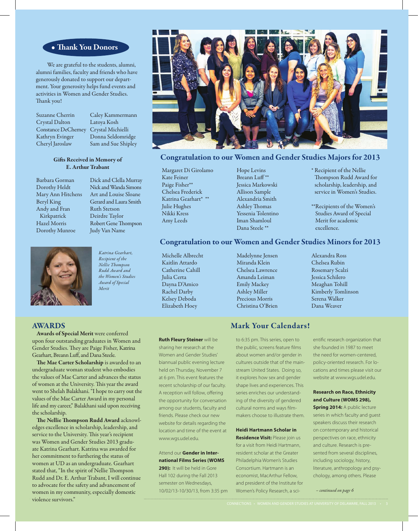## • Thank You Donors

We are grateful to the students, alumni, alumni families, faculty and friends who have generously donated to support our department. Your generosity helps fund events and activities in Women and Gender Studies. Thank you!

| Suzanne Cherrin            |
|----------------------------|
| Crystal Dalton             |
| <b>Constance DeCherney</b> |
| Kathryn Evinger            |
| Cheryl Jaroslaw            |

Caley Kammermann Latoya Kosh Crystal Michielli Donna Seldomridge Sam and Sue Shipley

#### Gifts Received in Memory of E. Arthur Trabant

Barbara Gorman Dorothy Heldt Mary Ann Hitchens Beryl King Andy and Fran Kirkpatrick Hazel Morris Dorothy Munroe





#### Katrina Gearhart, Recipient of the Nellie Thompson Rudd Award and the Women's Studies Award of Special Merit



# Congratulation to our Women and Gender Studies Majors for 2013

Margaret Di Girolamo Kate Feiner Paige Fisher\*\* Chelsea Frederick Katrina Gearhart\* \*\* Julie Hughes Nikki Kress Amy Leeds

Hope Levins Breann Luff<sup>\*\*</sup> Jessica Markowski Allison Sample Alexandria Smith Ashley Thomas Yessenia Tolentino Iman Shamloul Dana Steele \*\*

\* Recipient of the Nellie Thompson Rudd Award for scholarship, leadership, and service in Women's Studies.

\*\*Recipients of the Women's Studies Award of Special Merit for academic excellence.

# Congratulation to our Women and Gender Studies Minors for 2013

Michelle Albrecht Kaitlin Attardo Catherine Cahill Julia Certa Dayna D'Amico Rachel Darby Kelsey Deboda Elizabeth Hoey

Madelynne Jensen Miranda Klein Chelsea Lawrence Amanda Leiman Emily Mackey Ashley Miller Precious Morris Christina O'Brien Alexandra Ross Chelsea Rubin Rosemary Scalzi Jessica Schilero Meaghan Tohill Kimberly Tomlinson Serena Walker Dana Weaver

#### AWARDS

Awards of Special Merit were conferred upon four outstanding graduates in Women and Gender Studies. They are Paige Fisher, Katrina Gearhart, Breann Luff, and Dana Steele.

The Mae Carter Scholarship is awarded to an undergraduate woman student who embodies the values of Mae Carter and advances the status of women at the University. This year the award went to Shelah Balakhani. "I hope to carry out the values of the Mae Carter Award in my personal life and my career," Balakhani said upon receiving the scholarship.

The Nellie Thompson Rudd Award acknowledges excellence in scholarship, leadership, and service to the University. This year's recipient was Women and Gender Studies 2013 graduate Katrina Gearhart. Katrina was awarded for her commitment to furthering the status of women at UD as an undergraduate. Gearhart stated that, "In the spirit of Nellie Thompson Rudd and Dr. E. Arthur Trabant, I will continue to advocate for the safety and advancement of women in my community, especially domestic violence survivors."

#### **Ruth Fleury Steiner** will be

sharing her research at the Women and Gender Studies' biannual public evening lecture held on Thursday, November 7 at 6 pm. This event features the recent scholarship of our faculty. A reception will follow, offering the opportunity for conversation among our students, faculty and friends. Please check our new website for details regarding the location and time of the event at www.wgs.udel.edu.

Attend our **Gender in International Films Series (WOMS 290):** It will be held in Gore Hall 102 during the Fall 2013 semester on Wednesdays, 10/02/13-10/30/13, from 3:35 pm

# Mark Your Calendars!

to 6:35 pm. This series, open to the public, screens feature films about women and/or gender in cultures outside that of the mainstream United States. Doing so, it explores how sex and gender shape lives and experiences. This series enriches our understanding of the diversity of gendered cultural norms and ways filmmakers choose to illustrate them.

**Heidi Hartmann Scholar in Residence Visit:** Please join us

for a visit from Heidi Hartmann, resident scholar at the Greater Philadelphia Women's Studies Consortium. Hartmann is an economist, MacArthur Fellow, and president of the Institute for Women's Policy Research, a scientific research organization that she founded in 1987 to meet the need for women-centered, policy-oriented research. For locations and times please visit our website at www.wgs.udel.edu.

## **Research on Race, Ethnicity and Culture (WOMS 298),**

**Spring 2014:** A public lecture series in which faculty and guest speakers discuss their research on contemporary and historical perspectives on race, ethnicity and culture. Research is presented from several disciplines, including sociology, history, literature, anthropology and psychology, among others. Please

– continued on page 6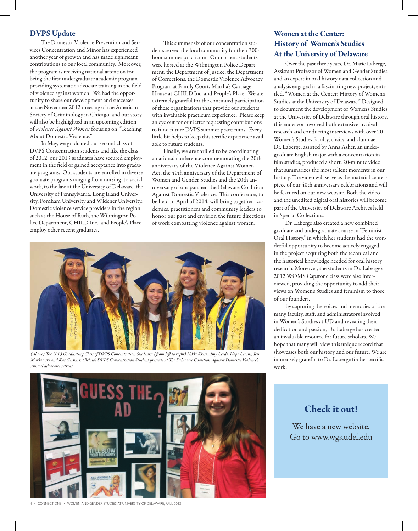## DVPS Update

The Domestic Violence Prevention and Services Concentration and Minor has experienced another year of growth and has made significant contributions to our local community. Moreover, the program is receiving national attention for being the first undergraduate academic program providing systematic advocate training in the field of violence against women. We had the opportunity to share our development and successes at the November 2012 meeting of the American Society of Criminology in Chicago, and our story will also be highlighted in an upcoming edition of Violence Against Women focusing on "Teaching About Domestic Violence."

In May, we graduated our second class of DVPS Concentration students and like the class of 2012, our 2013 graduates have secured employment in the field or gained acceptance into graduate programs. Our students are enrolled in diverse graduate programs ranging from nursing, to social work, to the law at the University of Delaware, the University of Pennsylvania, Long Island University, Fordham University and Widener University. Domestic violence service providers in the region such as the House of Ruth, the Wilmington Police Department, CHILD Inc., and People's Place employ other recent graduates.

This summer six of our concentration students served the local community for their 300 hour summer practicum. Our current students were hosted at the Wilmington Police Department, the Department of Justice, the Department of Corrections, the Domestic Violence Advocacy Program at Family Court, Martha's Carriage House at CHILD Inc. and People's Place. We are extremely grateful for the continued participation of these organizations that provide our students with invaluable practicum experience. Please keep an eye out for our letter requesting contributions to fund future DVPS summer practicums. Every little bit helps to keep this terrific experience available to future students.

Finally, we are thrilled to be coordinating a national conference commemorating the 20th anniversary of the Violence Against Women Act, the 40th anniversary of the Department of Women and Gender Studies and the 20th anniversary of our partner, the Delaware Coalition Against Domestic Violence. This conference, to be held in April of 2014, will bring together academics, practitioners and community leaders to honor our past and envision the future directions of work combatting violence against women.



(Above) The 2013 Graduating Class of DVPS Concentration Students: (from left to right) Nikki Kress, Amy Leeds, Hope Levins, Jess Markowski and Kat Gerhart. (Below) DVPS Concentration Student presents at The Delaware Coalition Against Domestic Violence's annual advocates retreat.

# Women at the Center: History of Women's Studies At the University of Delaware

Over the past three years, Dr. Marie Laberge, Assistant Professor of Women and Gender Studies and an expert in oral history data collection and analysis engaged in a fascinating new project, entitled. "Women at the Center: History of Women's Studies at the University of Delaware." Designed to document the development of Women's Studies at the University of Delaware through oral history, this endeavor involved both extensive archival research and conducting interviews with over 20 Women's Studies faculty, chairs, and alumnae. Dr. Laberge, assisted by Anna Asher, an undergraduate English major with a concentration in film studies, produced a short, 20-minute video that summarizes the most salient moments in our history. The video will serve as the material centerpiece of our 40th anniversary celebrations and will be featured on our new website. Both the video and the unedited digital oral histories will become part of the University of Delaware Archives held in Special Collections.

Dr. Laberge also created a new combined graduate and undergraduate course in "Feminist Oral History," in which her students had the wonderful opportunity to become actively engaged in the project acquiring both the technical and the historical knowledge needed for oral history research. Moreover, the students in Dr. Laberge's 2012 WOMS Capstone class were also interviewed, providing the opportunity to add their views on Women's Studies and feminism to those of our founders.

By capturing the voices and memories of the many faculty, staff, and administrators involved in Women's Studies at UD and revealing their dedication and passion, Dr. Laberge has created an invaluable resource for future scholars. We hope that many will view this unique record that showcases both our history and our future. We are immensely grateful to Dr. Laberge for her terrific work.



4 • CONNECTIONS • WOMEN AND GENDER STUDIES AT UNIVERSITY OF DELAWARE, FALL 2013

# Check it out!

We have a new website. Go to www.wgs.udel.edu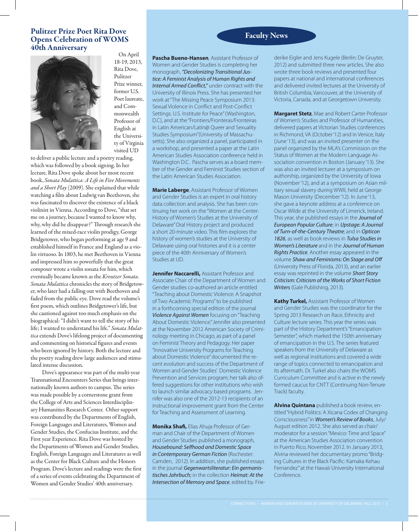# Pulitzer Prize Poet Rita Dove<br>
Channel Calchestion of WOMS<br>
Paculty News Opens Celebration of WOMS 40th Anniversary On April



18-19, 2013, Rita Dove, Pulitzer Prize winner, former U.S. Poet laureate, and Commonwealth Professor of English at the University of Virginia visited UD

to deliver a public lecture and a poetry reading, which was followed by a book signing. In her lecture, Rita Dove spoke about her most recent book, Sonata Mulattica: A Life in Five Movements and a Short Play (2009). She explained that while watching a film about Ludwig van Beethoven, she was fascinated to discover the existence of a black violinist in Vienna. According to Dove, "that set me on a journey, because I wanted to know why, why, why did he disappear?" Through research she learned of the mixed-race violin prodigy, George Bridgetower, who began performing at age 9 and established himself in France and England as a violin virtuoso. In 1803, he met Beethoven in Vienna and impressed him so powerfully that the great composer wrote a violin sonata for him, which eventually became known as the Kreutzer Sonata. Sonata Mulattica chronicles the story of Bridgetower, who later had a falling out with Beethoven and faded from the public eye. Dove read the volume's first poem, which outlines Bridgetower's life, but she cautioned against too much emphasis on the biographical: "I didn't want to tell the story of his life; I wanted to understand his life." Sonata Mulattica extends Dove's lifelong project of documenting and commenting on historical figures and events who been ignored by history. Both the lecture and the poetry reading drew large audiences and stimulated intense discussion.

Dove's appearance was part of the multi-year Transnational Encounters Series that brings internationally known authors to campus. The series was made possible by a cornerstone grant from the College of Arts and Sciences Interdisciplinary Humanities Research Center. Other support was contributed by the Departments of English, Foreign Languages and Literatures, Women and Gender Studies, the Confucius Institute, and the First year Experience. Rita Dove was hosted by the Departments of Women and Gender Studies, English, Foreign Languages and Literatures as well as the Center for Black Culture and the Honors Program. Dove's lecture and readings were the first of a series of events celebrating the Department of Women and Gender Studies' 40th anniversary.

**Pascha Bueno-Hansen**, Assistant Professor of Women and Gender Studies is completing her monograph, "Decolonizing Transitional Justice: A Feminist Analysis of Human Rights and Internal Armed Conflict," under contract with the University of Illinois Press. She has presented her work at "The Missing Peace Symposium 2013: Sexual Violence in Conflict and Post-Conflict Settings. U.S. Institute for Peace" (Washington, D.C), and at the "Frontiers/Fronteras/Fronteiras in Latin American/Latin@ Queer and Sexuality Studies Symposium"(University of Massachusetts). She also organized a panel, participated in a workshop, and presented a paper at the Latin American Studies Association conference held in Washington D.C. Pascha serves as a board member of the Gender and Feminist Studies section of the Latin American Studies Association.

**Marie Laberge**, Assistant Professor of Women and Gender Studies is an expert in oral history data collection and analysis. She has been continuing her work on the "Women at the Center: History of Women's Studies at the University of Delaware" Oral History project and produced a short 20-minute video. This film explores the history of women's studies at the University of Delaware using oral histories and it is a center piece of the 40th Anniversary of Women's Studies at UD.

**Jennifer Naccarelli,** Assistant Professor and Associate Chair of the Department of Women and Gender studies co-authored an article entitled "Teaching about Domestic Violence: A Snapshot of Two Academic Programs" to be published in a forthcoming special edition of the journal Violence Against Women focusing on "Teaching About Domestic Violence." Jennifer also presented at the November 2012 American Society of Criminology meeting in Chicago, as part of a panel on Feminist Theory and Pedagogy. Her paper "Innovative University Programs for Teaching about Domestic Violence" documented the recent evolution and success of the Department of Women and Gender Studies' Domestic Violence Prevention and Services program; her talk also offered suggestions for other institutions who wish to launch similar advocacy based programs. Jennifer was also one of the 2012-13 recipients of an instructional improvement grant from the Center for Teaching and Assessment of Learning.

**Monika Sha!,** Elias Ahuja Professor of German and Chair of the Department of Women and Gender Studies published a monograph, Housebound: Selfhood and Domestic Space in Contemporary German Fiction (Rochester: Camden, 2012). In addition, she published essays in the journal Gegenwartsliteratur: Ein germanistisches Jahrbuch; in the collection Heimat: At the Intersection of Memory and Space, edited by. Frie-

derike Eigler and Jens Kugele (Berlin: De Gruyter, 2012) and submitted three new articles. She also wrote three book reviews and presented four papers at national and international conferences and delivered invited lectures at the University of British Columbia, Vancouver, at the University of Victoria, Canada, and at Georgetown University.

**Margaret Stetz**, Mae and Robert Carter Professor of Women's Studies and Professor of Humanities, delivered papers at Victorian Studies conferences in Richmond, VA (October '12) and in Venice, Italy (June '13), and was an invited presenter on the panel organized by the MLA's Commission on the Status of Women at the Modern Language Association convention in Boston (January '13). She was also an invited lecturer at a symposium on authorship, organized by the University of Iowa (November '12), and at a symposium on Asian military sexual slavery during WWII, held at George Mason University (December '12). In June '13, she gave a keynote address at a conference on Oscar Wilde at the University of Limerick, Ireland. This year, she published essays in the Journal of European Popular Culture; in Upstage: A Journal of Turn-of-the-Century Theatre; and in Opticon 1826, as well as book reviews in Tulsa Studies in Women's Literature and in the Journal of Human **Rights Practice**. Another essay appeared in the volume Shaw and Feminisms: On Stage and Off (University Press of Florida, 2013), and an earlier essay was reprinted in the volume Short Story Criticism: Criticism of the Works of Short Fiction Writers (Gale Publishing, 2013).

**Kathy Turkel,** Assistant Professor of Women and Gender Studies was the coordinator for the Spring 2013 Research on Race, Ethnicity and Culture lecture series. This year the series was part of the History Department's "Emancipation Semester", which marked the 150th anniversary of emancipation in the U.S. The series featured speakers from the University of Delaware as well as regional institutions and covered a wide range of topics connected to emancipation and its aftermath. Dr. Turkel also chairs the WOMS Curriculum Committee and is active in the newly formed caucus for CNTT (Continuing Non-Tenure Track) faculty.

**Alvina Quintana** published a book review, entitled "Hybrid Politics: A Xicana Codex of Changing Consciousness" in Women's Review of Books, July/ August edition 2012. She also served as chair/ moderator for a session "Mexico: Time and Space" at the American Studies Association convention in Puerto Rico, November 2012. In January 2013, Alvina reviewed her documentary promo "Bridging Cultures in the Black Pacific: Kamaka Kehau Fernandez" at the Hawaii University International Conference.